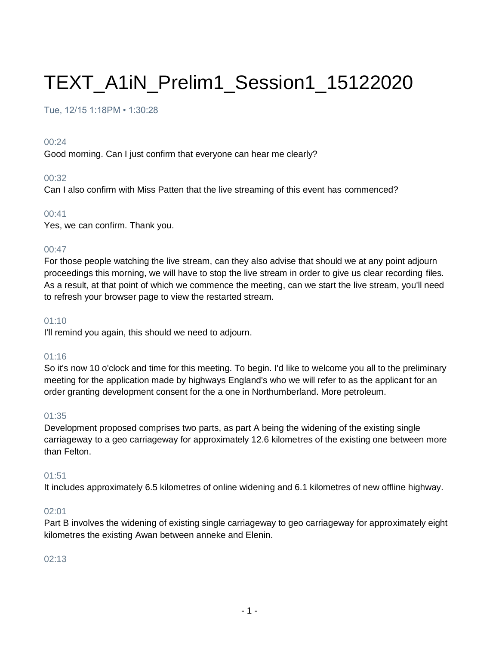# TEXT\_A1iN\_Prelim1\_Session1\_15122020

## Tue, 12/15 1:18PM • 1:30:28

#### 00:24

Good morning. Can I just confirm that everyone can hear me clearly?

## 00:32

Can I also confirm with Miss Patten that the live streaming of this event has commenced?

## 00:41

Yes, we can confirm. Thank you.

## 00:47

For those people watching the live stream, can they also advise that should we at any point adjourn proceedings this morning, we will have to stop the live stream in order to give us clear recording files. As a result, at that point of which we commence the meeting, can we start the live stream, you'll need to refresh your browser page to view the restarted stream.

## $01:10$

I'll remind you again, this should we need to adjourn.

## 01:16

So it's now 10 o'clock and time for this meeting. To begin. I'd like to welcome you all to the preliminary meeting for the application made by highways England's who we will refer to as the applicant for an order granting development consent for the a one in Northumberland. More petroleum.

## 01:35

Development proposed comprises two parts, as part A being the widening of the existing single carriageway to a geo carriageway for approximately 12.6 kilometres of the existing one between more than Felton.

## 01:51

It includes approximately 6.5 kilometres of online widening and 6.1 kilometres of new offline highway.

## 02:01

Part B involves the widening of existing single carriageway to geo carriageway for approximately eight kilometres the existing Awan between anneke and Elenin.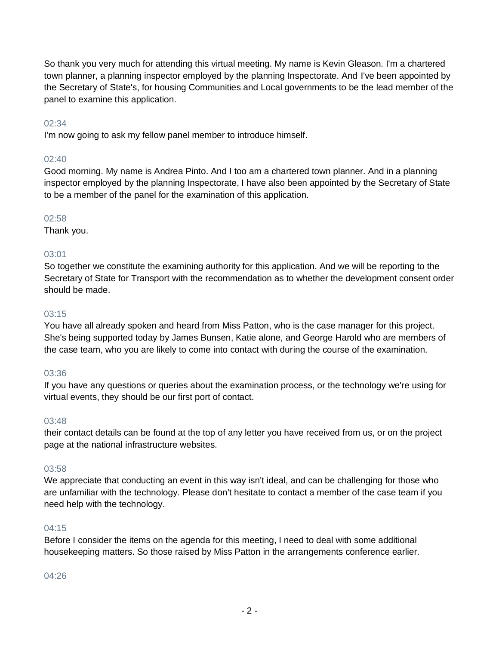So thank you very much for attending this virtual meeting. My name is Kevin Gleason. I'm a chartered town planner, a planning inspector employed by the planning Inspectorate. And I've been appointed by the Secretary of State's, for housing Communities and Local governments to be the lead member of the panel to examine this application.

## 02:34

I'm now going to ask my fellow panel member to introduce himself.

## 02:40

Good morning. My name is Andrea Pinto. And I too am a chartered town planner. And in a planning inspector employed by the planning Inspectorate, I have also been appointed by the Secretary of State to be a member of the panel for the examination of this application.

## 02:58

Thank you.

## 03:01

So together we constitute the examining authority for this application. And we will be reporting to the Secretary of State for Transport with the recommendation as to whether the development consent order should be made.

## 03:15

You have all already spoken and heard from Miss Patton, who is the case manager for this project. She's being supported today by James Bunsen, Katie alone, and George Harold who are members of the case team, who you are likely to come into contact with during the course of the examination.

## 03:36

If you have any questions or queries about the examination process, or the technology we're using for virtual events, they should be our first port of contact.

## 03:48

their contact details can be found at the top of any letter you have received from us, or on the project page at the national infrastructure websites.

## 03:58

We appreciate that conducting an event in this way isn't ideal, and can be challenging for those who are unfamiliar with the technology. Please don't hesitate to contact a member of the case team if you need help with the technology.

## 04:15

Before I consider the items on the agenda for this meeting, I need to deal with some additional housekeeping matters. So those raised by Miss Patton in the arrangements conference earlier.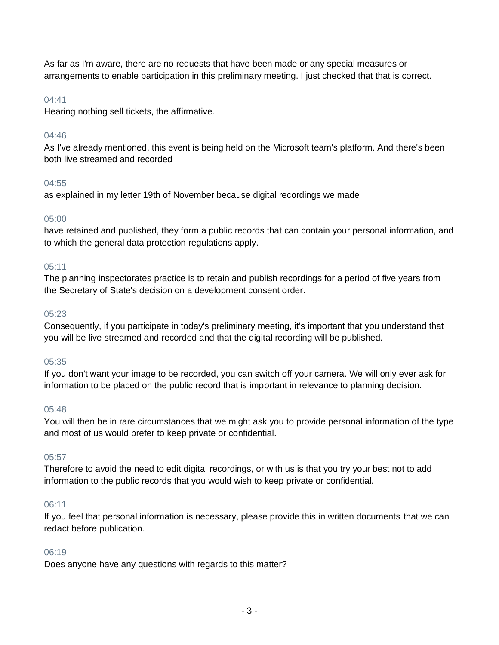As far as I'm aware, there are no requests that have been made or any special measures or arrangements to enable participation in this preliminary meeting. I just checked that that is correct.

## 04:41

Hearing nothing sell tickets, the affirmative.

## 04:46

As I've already mentioned, this event is being held on the Microsoft team's platform. And there's been both live streamed and recorded

# 04:55

as explained in my letter 19th of November because digital recordings we made

## 05:00

have retained and published, they form a public records that can contain your personal information, and to which the general data protection regulations apply.

## $05:11$

The planning inspectorates practice is to retain and publish recordings for a period of five years from the Secretary of State's decision on a development consent order.

## 05:23

Consequently, if you participate in today's preliminary meeting, it's important that you understand that you will be live streamed and recorded and that the digital recording will be published.

## 05:35

If you don't want your image to be recorded, you can switch off your camera. We will only ever ask for information to be placed on the public record that is important in relevance to planning decision.

## 05:48

You will then be in rare circumstances that we might ask you to provide personal information of the type and most of us would prefer to keep private or confidential.

## 05:57

Therefore to avoid the need to edit digital recordings, or with us is that you try your best not to add information to the public records that you would wish to keep private or confidential.

## 06:11

If you feel that personal information is necessary, please provide this in written documents that we can redact before publication.

## 06:19

Does anyone have any questions with regards to this matter?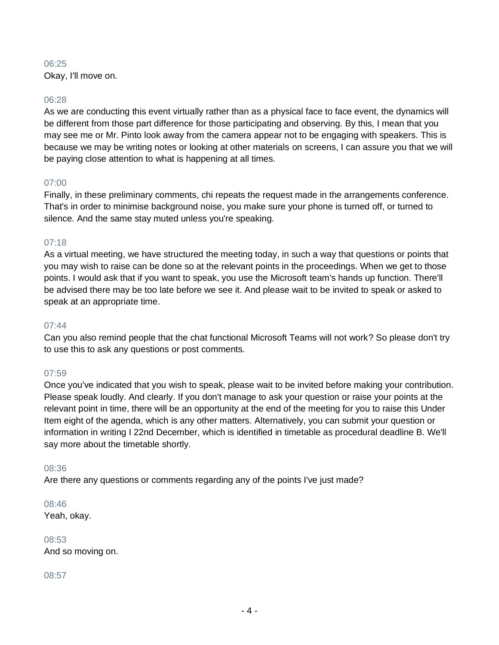Okay, I'll move on.

#### 06:28

As we are conducting this event virtually rather than as a physical face to face event, the dynamics will be different from those part difference for those participating and observing. By this, I mean that you may see me or Mr. Pinto look away from the camera appear not to be engaging with speakers. This is because we may be writing notes or looking at other materials on screens, I can assure you that we will be paying close attention to what is happening at all times.

## 07:00

Finally, in these preliminary comments, chi repeats the request made in the arrangements conference. That's in order to minimise background noise, you make sure your phone is turned off, or turned to silence. And the same stay muted unless you're speaking.

## 07:18

As a virtual meeting, we have structured the meeting today, in such a way that questions or points that you may wish to raise can be done so at the relevant points in the proceedings. When we get to those points. I would ask that if you want to speak, you use the Microsoft team's hands up function. There'll be advised there may be too late before we see it. And please wait to be invited to speak or asked to speak at an appropriate time.

#### 07:44

Can you also remind people that the chat functional Microsoft Teams will not work? So please don't try to use this to ask any questions or post comments.

## 07:59

Once you've indicated that you wish to speak, please wait to be invited before making your contribution. Please speak loudly. And clearly. If you don't manage to ask your question or raise your points at the relevant point in time, there will be an opportunity at the end of the meeting for you to raise this Under Item eight of the agenda, which is any other matters. Alternatively, you can submit your question or information in writing I 22nd December, which is identified in timetable as procedural deadline B. We'll say more about the timetable shortly.

## 08:36

Are there any questions or comments regarding any of the points I've just made?

08:46 Yeah, okay.

08:53 And so moving on.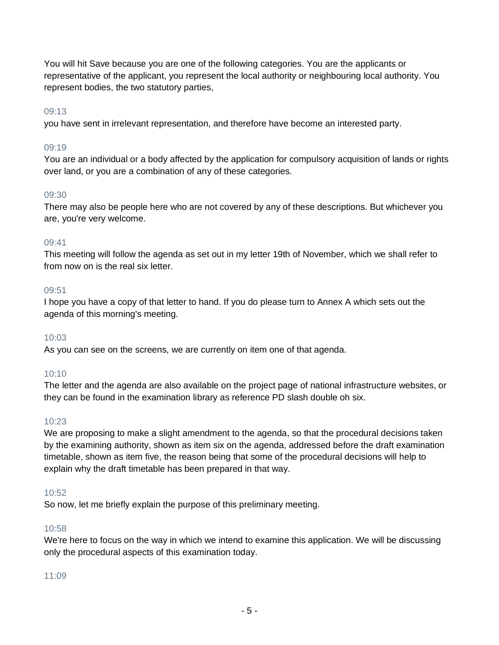You will hit Save because you are one of the following categories. You are the applicants or representative of the applicant, you represent the local authority or neighbouring local authority. You represent bodies, the two statutory parties,

## 09:13

you have sent in irrelevant representation, and therefore have become an interested party.

## 09:19

You are an individual or a body affected by the application for compulsory acquisition of lands or rights over land, or you are a combination of any of these categories.

## 09:30

There may also be people here who are not covered by any of these descriptions. But whichever you are, you're very welcome.

## 09:41

This meeting will follow the agenda as set out in my letter 19th of November, which we shall refer to from now on is the real six letter.

## 09:51

I hope you have a copy of that letter to hand. If you do please turn to Annex A which sets out the agenda of this morning's meeting.

## 10:03

As you can see on the screens, we are currently on item one of that agenda.

## 10:10

The letter and the agenda are also available on the project page of national infrastructure websites, or they can be found in the examination library as reference PD slash double oh six.

## 10:23

We are proposing to make a slight amendment to the agenda, so that the procedural decisions taken by the examining authority, shown as item six on the agenda, addressed before the draft examination timetable, shown as item five, the reason being that some of the procedural decisions will help to explain why the draft timetable has been prepared in that way.

## 10:52

So now, let me briefly explain the purpose of this preliminary meeting.

## 10:58

We're here to focus on the way in which we intend to examine this application. We will be discussing only the procedural aspects of this examination today.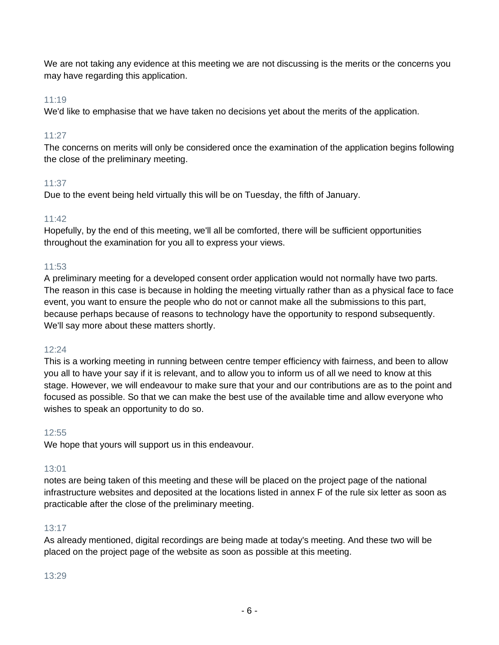We are not taking any evidence at this meeting we are not discussing is the merits or the concerns you may have regarding this application.

## 11:19

We'd like to emphasise that we have taken no decisions yet about the merits of the application.

## 11:27

The concerns on merits will only be considered once the examination of the application begins following the close of the preliminary meeting.

## 11:37

Due to the event being held virtually this will be on Tuesday, the fifth of January.

## 11:42

Hopefully, by the end of this meeting, we'll all be comforted, there will be sufficient opportunities throughout the examination for you all to express your views.

## 11:53

A preliminary meeting for a developed consent order application would not normally have two parts. The reason in this case is because in holding the meeting virtually rather than as a physical face to face event, you want to ensure the people who do not or cannot make all the submissions to this part, because perhaps because of reasons to technology have the opportunity to respond subsequently. We'll say more about these matters shortly.

## 12:24

This is a working meeting in running between centre temper efficiency with fairness, and been to allow you all to have your say if it is relevant, and to allow you to inform us of all we need to know at this stage. However, we will endeavour to make sure that your and our contributions are as to the point and focused as possible. So that we can make the best use of the available time and allow everyone who wishes to speak an opportunity to do so.

## 12:55

We hope that yours will support us in this endeavour.

## 13:01

notes are being taken of this meeting and these will be placed on the project page of the national infrastructure websites and deposited at the locations listed in annex F of the rule six letter as soon as practicable after the close of the preliminary meeting.

## 13:17

As already mentioned, digital recordings are being made at today's meeting. And these two will be placed on the project page of the website as soon as possible at this meeting.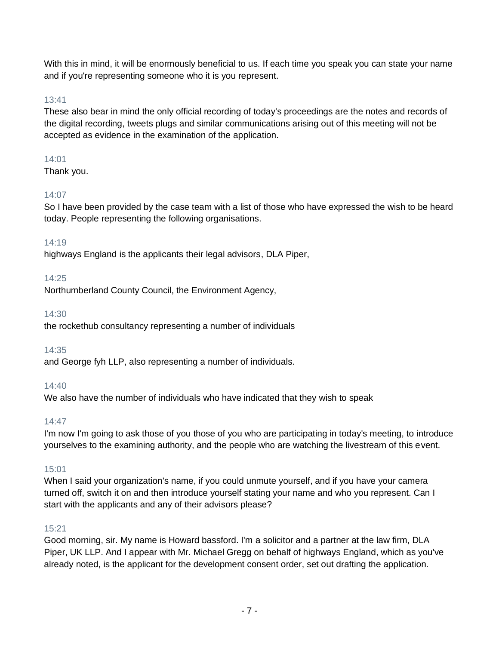With this in mind, it will be enormously beneficial to us. If each time you speak you can state your name and if you're representing someone who it is you represent.

## 13:41

These also bear in mind the only official recording of today's proceedings are the notes and records of the digital recording, tweets plugs and similar communications arising out of this meeting will not be accepted as evidence in the examination of the application.

# 14:01

Thank you.

# 14:07

So I have been provided by the case team with a list of those who have expressed the wish to be heard today. People representing the following organisations.

# 14:19

highways England is the applicants their legal advisors, DLA Piper,

# 14:25

Northumberland County Council, the Environment Agency,

## 14:30

the rockethub consultancy representing a number of individuals

# 14:35

and George fyh LLP, also representing a number of individuals.

# 14:40

We also have the number of individuals who have indicated that they wish to speak

# 14:47

I'm now I'm going to ask those of you those of you who are participating in today's meeting, to introduce yourselves to the examining authority, and the people who are watching the livestream of this event.

# 15:01

When I said your organization's name, if you could unmute yourself, and if you have your camera turned off, switch it on and then introduce yourself stating your name and who you represent. Can I start with the applicants and any of their advisors please?

# 15:21

Good morning, sir. My name is Howard bassford. I'm a solicitor and a partner at the law firm, DLA Piper, UK LLP. And I appear with Mr. Michael Gregg on behalf of highways England, which as you've already noted, is the applicant for the development consent order, set out drafting the application.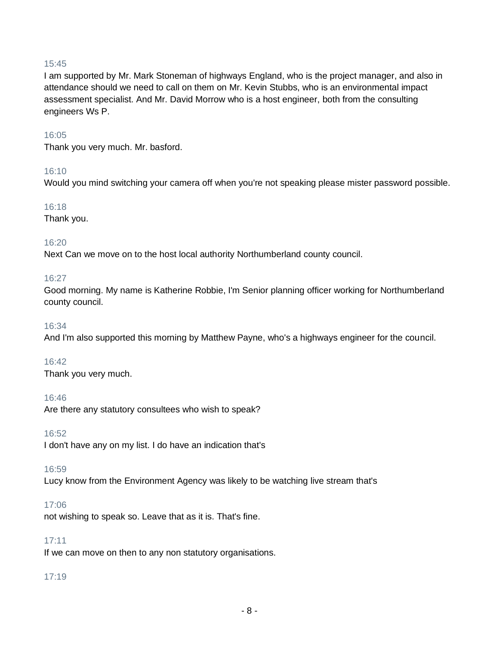I am supported by Mr. Mark Stoneman of highways England, who is the project manager, and also in attendance should we need to call on them on Mr. Kevin Stubbs, who is an environmental impact assessment specialist. And Mr. David Morrow who is a host engineer, both from the consulting engineers Ws P.

#### 16:05

Thank you very much. Mr. basford.

#### 16:10

Would you mind switching your camera off when you're not speaking please mister password possible.

#### 16:18

Thank you.

## 16:20

Next Can we move on to the host local authority Northumberland county council.

#### 16:27

Good morning. My name is Katherine Robbie, I'm Senior planning officer working for Northumberland county council.

#### 16:34

And I'm also supported this morning by Matthew Payne, who's a highways engineer for the council.

## 16:42

Thank you very much.

#### 16:46

Are there any statutory consultees who wish to speak?

16:52

I don't have any on my list. I do have an indication that's

#### 16:59

Lucy know from the Environment Agency was likely to be watching live stream that's

#### 17:06

not wishing to speak so. Leave that as it is. That's fine.

## 17:11

If we can move on then to any non statutory organisations.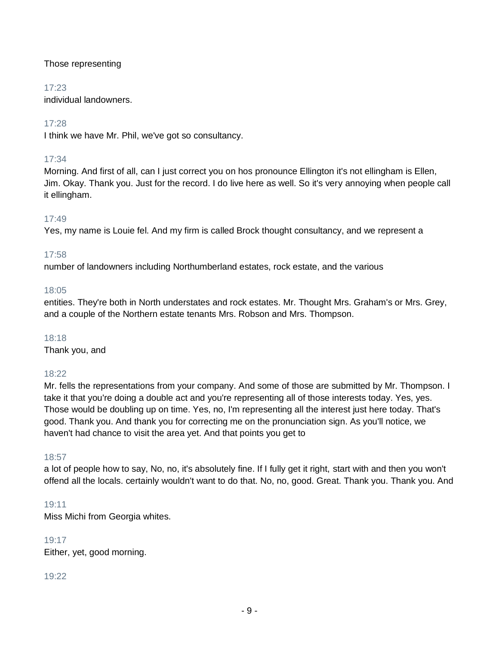## Those representing

## 17:23

individual landowners.

# 17:28

I think we have Mr. Phil, we've got so consultancy.

# 17:34

Morning. And first of all, can I just correct you on hos pronounce Ellington it's not ellingham is Ellen, Jim. Okay. Thank you. Just for the record. I do live here as well. So it's very annoying when people call it ellingham.

# 17:49

Yes, my name is Louie fel. And my firm is called Brock thought consultancy, and we represent a

# 17:58

number of landowners including Northumberland estates, rock estate, and the various

# 18:05

entities. They're both in North understates and rock estates. Mr. Thought Mrs. Graham's or Mrs. Grey, and a couple of the Northern estate tenants Mrs. Robson and Mrs. Thompson.

## 18:18

Thank you, and

## 18:22

Mr. fells the representations from your company. And some of those are submitted by Mr. Thompson. I take it that you're doing a double act and you're representing all of those interests today. Yes, yes. Those would be doubling up on time. Yes, no, I'm representing all the interest just here today. That's good. Thank you. And thank you for correcting me on the pronunciation sign. As you'll notice, we haven't had chance to visit the area yet. And that points you get to

## 18:57

a lot of people how to say, No, no, it's absolutely fine. If I fully get it right, start with and then you won't offend all the locals. certainly wouldn't want to do that. No, no, good. Great. Thank you. Thank you. And

## 19:11

Miss Michi from Georgia whites.

## 19:17

Either, yet, good morning.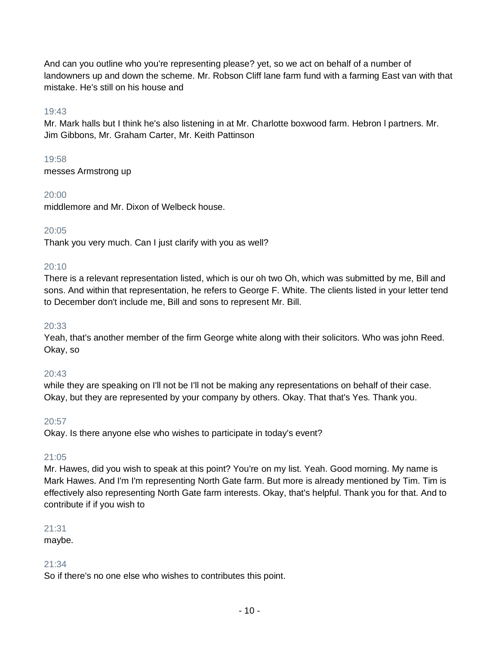And can you outline who you're representing please? yet, so we act on behalf of a number of landowners up and down the scheme. Mr. Robson Cliff lane farm fund with a farming East van with that mistake. He's still on his house and

## 19:43

Mr. Mark halls but I think he's also listening in at Mr. Charlotte boxwood farm. Hebron l partners. Mr. Jim Gibbons, Mr. Graham Carter, Mr. Keith Pattinson

19:58

messes Armstrong up

## 20:00

middlemore and Mr. Dixon of Welbeck house.

## 20:05

Thank you very much. Can I just clarify with you as well?

## $20:10$

There is a relevant representation listed, which is our oh two Oh, which was submitted by me, Bill and sons. And within that representation, he refers to George F. White. The clients listed in your letter tend to December don't include me, Bill and sons to represent Mr. Bill.

## 20:33

Yeah, that's another member of the firm George white along with their solicitors. Who was john Reed. Okay, so

## 20:43

while they are speaking on I'll not be I'll not be making any representations on behalf of their case. Okay, but they are represented by your company by others. Okay. That that's Yes. Thank you.

## 20:57

Okay. Is there anyone else who wishes to participate in today's event?

## 21:05

Mr. Hawes, did you wish to speak at this point? You're on my list. Yeah. Good morning. My name is Mark Hawes. And I'm I'm representing North Gate farm. But more is already mentioned by Tim. Tim is effectively also representing North Gate farm interests. Okay, that's helpful. Thank you for that. And to contribute if if you wish to

## 21:31

maybe.

## 21:34

So if there's no one else who wishes to contributes this point.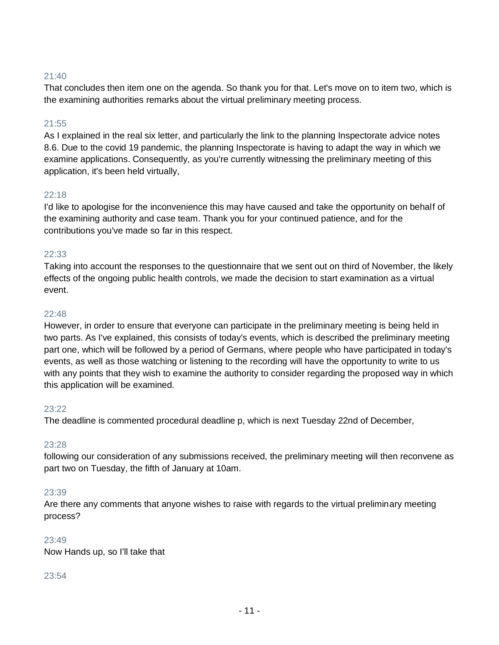That concludes then item one on the agenda. So thank you for that. Let's move on to item two, which is the examining authorities remarks about the virtual preliminary meeting process.

## 21:55

As I explained in the real six letter, and particularly the link to the planning Inspectorate advice notes 8.6. Due to the covid 19 pandemic, the planning Inspectorate is having to adapt the way in which we examine applications. Consequently, as you're currently witnessing the preliminary meeting of this application, it's been held virtually,

## $22.18$

I'd like to apologise for the inconvenience this may have caused and take the opportunity on behalf of the examining authority and case team. Thank you for your continued patience, and for the contributions you've made so far in this respect.

## 22:33

Taking into account the responses to the questionnaire that we sent out on third of November, the likely effects of the ongoing public health controls, we made the decision to start examination as a virtual event.

## 22:48

However, in order to ensure that everyone can participate in the preliminary meeting is being held in two parts. As I've explained, this consists of today's events, which is described the preliminary meeting part one, which will be followed by a period of Germans, where people who have participated in today's events, as well as those watching or listening to the recording will have the opportunity to write to us with any points that they wish to examine the authority to consider regarding the proposed way in which this application will be examined.

#### 23:22

The deadline is commented procedural deadline p, which is next Tuesday 22nd of December,

## 23:28

following our consideration of any submissions received, the preliminary meeting will then reconvene as part two on Tuesday, the fifth of January at 10am.

## 23:39

Are there any comments that anyone wishes to raise with regards to the virtual preliminary meeting process?

## 23:49

Now Hands up, so I'll take that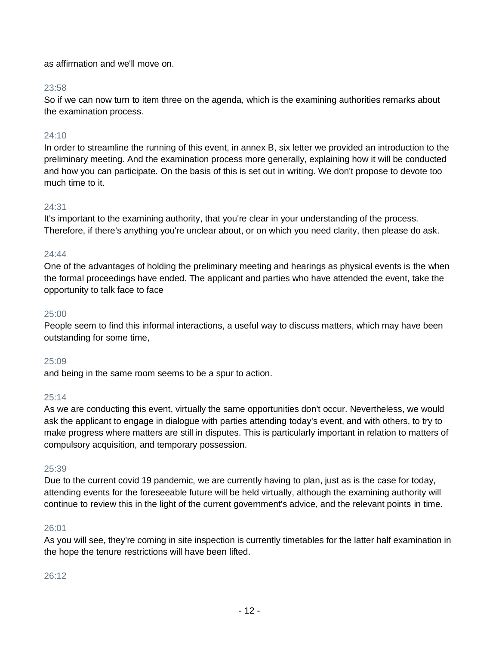as affirmation and we'll move on.

## 23:58

So if we can now turn to item three on the agenda, which is the examining authorities remarks about the examination process.

## 24:10

In order to streamline the running of this event, in annex B, six letter we provided an introduction to the preliminary meeting. And the examination process more generally, explaining how it will be conducted and how you can participate. On the basis of this is set out in writing. We don't propose to devote too much time to it.

## 24:31

It's important to the examining authority, that you're clear in your understanding of the process. Therefore, if there's anything you're unclear about, or on which you need clarity, then please do ask.

## 24:44

One of the advantages of holding the preliminary meeting and hearings as physical events is the when the formal proceedings have ended. The applicant and parties who have attended the event, take the opportunity to talk face to face

## 25:00

People seem to find this informal interactions, a useful way to discuss matters, which may have been outstanding for some time,

## 25:09

and being in the same room seems to be a spur to action.

## 25:14

As we are conducting this event, virtually the same opportunities don't occur. Nevertheless, we would ask the applicant to engage in dialogue with parties attending today's event, and with others, to try to make progress where matters are still in disputes. This is particularly important in relation to matters of compulsory acquisition, and temporary possession.

## 25:39

Due to the current covid 19 pandemic, we are currently having to plan, just as is the case for today, attending events for the foreseeable future will be held virtually, although the examining authority will continue to review this in the light of the current government's advice, and the relevant points in time.

## 26:01

As you will see, they're coming in site inspection is currently timetables for the latter half examination in the hope the tenure restrictions will have been lifted.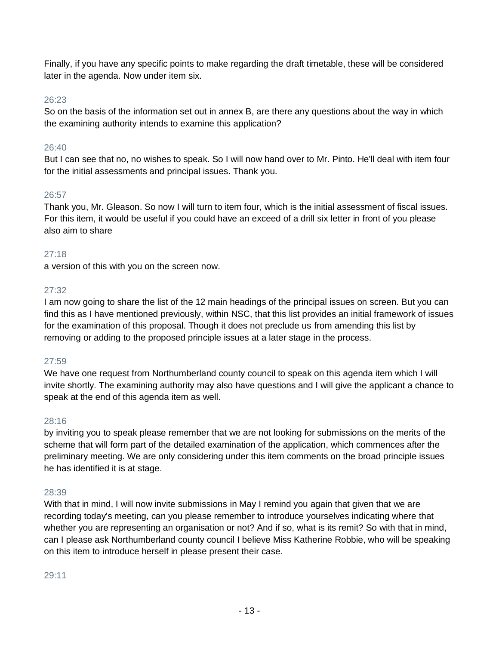Finally, if you have any specific points to make regarding the draft timetable, these will be considered later in the agenda. Now under item six.

## 26:23

So on the basis of the information set out in annex B, are there any questions about the way in which the examining authority intends to examine this application?

## 26:40

But I can see that no, no wishes to speak. So I will now hand over to Mr. Pinto. He'll deal with item four for the initial assessments and principal issues. Thank you.

#### 26:57

Thank you, Mr. Gleason. So now I will turn to item four, which is the initial assessment of fiscal issues. For this item, it would be useful if you could have an exceed of a drill six letter in front of you please also aim to share

#### 27:18

a version of this with you on the screen now.

#### 27:32

I am now going to share the list of the 12 main headings of the principal issues on screen. But you can find this as I have mentioned previously, within NSC, that this list provides an initial framework of issues for the examination of this proposal. Though it does not preclude us from amending this list by removing or adding to the proposed principle issues at a later stage in the process.

#### 27:59

We have one request from Northumberland county council to speak on this agenda item which I will invite shortly. The examining authority may also have questions and I will give the applicant a chance to speak at the end of this agenda item as well.

#### 28:16

by inviting you to speak please remember that we are not looking for submissions on the merits of the scheme that will form part of the detailed examination of the application, which commences after the preliminary meeting. We are only considering under this item comments on the broad principle issues he has identified it is at stage.

#### 28:39

With that in mind, I will now invite submissions in May I remind you again that given that we are recording today's meeting, can you please remember to introduce yourselves indicating where that whether you are representing an organisation or not? And if so, what is its remit? So with that in mind, can I please ask Northumberland county council I believe Miss Katherine Robbie, who will be speaking on this item to introduce herself in please present their case.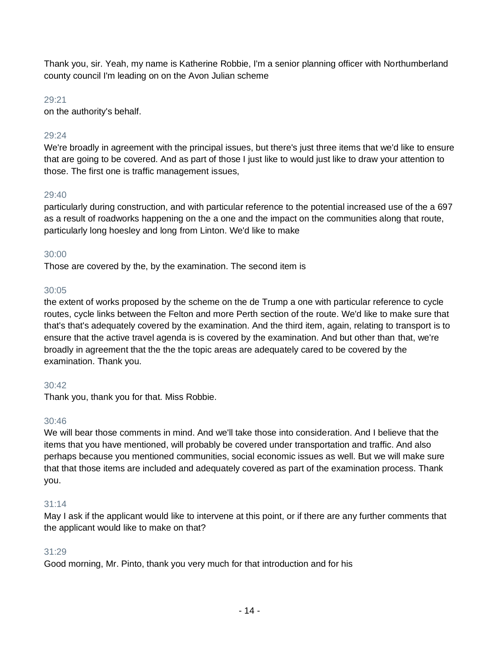Thank you, sir. Yeah, my name is Katherine Robbie, I'm a senior planning officer with Northumberland county council I'm leading on on the Avon Julian scheme

#### 29:21

on the authority's behalf.

## 29:24

We're broadly in agreement with the principal issues, but there's just three items that we'd like to ensure that are going to be covered. And as part of those I just like to would just like to draw your attention to those. The first one is traffic management issues,

## $29:40$

particularly during construction, and with particular reference to the potential increased use of the a 697 as a result of roadworks happening on the a one and the impact on the communities along that route, particularly long hoesley and long from Linton. We'd like to make

## 30:00

Those are covered by the, by the examination. The second item is

## 30:05

the extent of works proposed by the scheme on the de Trump a one with particular reference to cycle routes, cycle links between the Felton and more Perth section of the route. We'd like to make sure that that's that's adequately covered by the examination. And the third item, again, relating to transport is to ensure that the active travel agenda is is covered by the examination. And but other than that, we're broadly in agreement that the the the topic areas are adequately cared to be covered by the examination. Thank you.

## 30:42

Thank you, thank you for that. Miss Robbie.

## 30:46

We will bear those comments in mind. And we'll take those into consideration. And I believe that the items that you have mentioned, will probably be covered under transportation and traffic. And also perhaps because you mentioned communities, social economic issues as well. But we will make sure that that those items are included and adequately covered as part of the examination process. Thank you.

## 31:14

May I ask if the applicant would like to intervene at this point, or if there are any further comments that the applicant would like to make on that?

## 31:29

Good morning, Mr. Pinto, thank you very much for that introduction and for his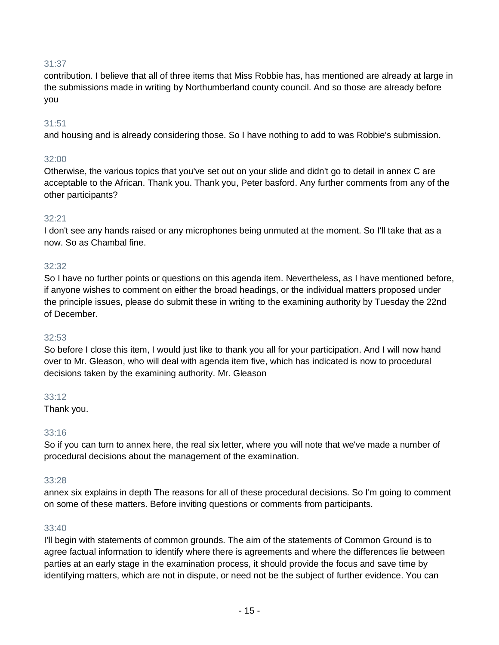contribution. I believe that all of three items that Miss Robbie has, has mentioned are already at large in the submissions made in writing by Northumberland county council. And so those are already before you

## 31:51

and housing and is already considering those. So I have nothing to add to was Robbie's submission.

## 32:00

Otherwise, the various topics that you've set out on your slide and didn't go to detail in annex C are acceptable to the African. Thank you. Thank you, Peter basford. Any further comments from any of the other participants?

## 32:21

I don't see any hands raised or any microphones being unmuted at the moment. So I'll take that as a now. So as Chambal fine.

## 32:32

So I have no further points or questions on this agenda item. Nevertheless, as I have mentioned before, if anyone wishes to comment on either the broad headings, or the individual matters proposed under the principle issues, please do submit these in writing to the examining authority by Tuesday the 22nd of December.

## 32:53

So before I close this item, I would just like to thank you all for your participation. And I will now hand over to Mr. Gleason, who will deal with agenda item five, which has indicated is now to procedural decisions taken by the examining authority. Mr. Gleason

## 33:12

Thank you.

## 33:16

So if you can turn to annex here, the real six letter, where you will note that we've made a number of procedural decisions about the management of the examination.

## 33:28

annex six explains in depth The reasons for all of these procedural decisions. So I'm going to comment on some of these matters. Before inviting questions or comments from participants.

## 33:40

I'll begin with statements of common grounds. The aim of the statements of Common Ground is to agree factual information to identify where there is agreements and where the differences lie between parties at an early stage in the examination process, it should provide the focus and save time by identifying matters, which are not in dispute, or need not be the subject of further evidence. You can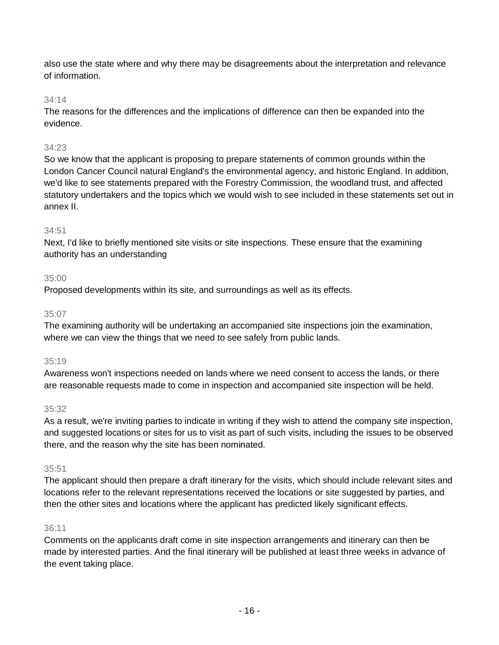also use the state where and why there may be disagreements about the interpretation and relevance of information.

## 34:14

The reasons for the differences and the implications of difference can then be expanded into the evidence.

## 34:23

So we know that the applicant is proposing to prepare statements of common grounds within the London Cancer Council natural England's the environmental agency, and historic England. In addition, we'd like to see statements prepared with the Forestry Commission, the woodland trust, and affected statutory undertakers and the topics which we would wish to see included in these statements set out in annex II.

## 34:51

Next, I'd like to briefly mentioned site visits or site inspections. These ensure that the examining authority has an understanding

## 35:00

Proposed developments within its site, and surroundings as well as its effects.

## 35:07

The examining authority will be undertaking an accompanied site inspections join the examination, where we can view the things that we need to see safely from public lands.

## 35:19

Awareness won't inspections needed on lands where we need consent to access the lands, or there are reasonable requests made to come in inspection and accompanied site inspection will be held.

## 35:32

As a result, we're inviting parties to indicate in writing if they wish to attend the company site inspection, and suggested locations or sites for us to visit as part of such visits, including the issues to be observed there, and the reason why the site has been nominated.

## 35:51

The applicant should then prepare a draft itinerary for the visits, which should include relevant sites and locations refer to the relevant representations received the locations or site suggested by parties, and then the other sites and locations where the applicant has predicted likely significant effects.

## 36:11

Comments on the applicants draft come in site inspection arrangements and itinerary can then be made by interested parties. And the final itinerary will be published at least three weeks in advance of the event taking place.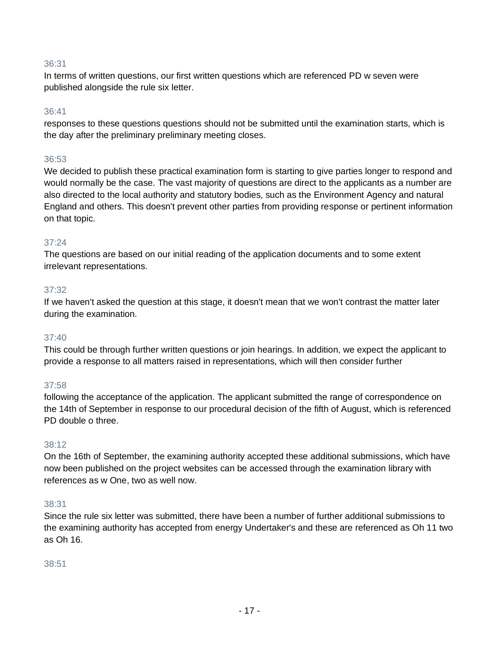In terms of written questions, our first written questions which are referenced PD w seven were published alongside the rule six letter.

## 36:41

responses to these questions questions should not be submitted until the examination starts, which is the day after the preliminary preliminary meeting closes.

## 36:53

We decided to publish these practical examination form is starting to give parties longer to respond and would normally be the case. The vast majority of questions are direct to the applicants as a number are also directed to the local authority and statutory bodies, such as the Environment Agency and natural England and others. This doesn't prevent other parties from providing response or pertinent information on that topic.

## 37:24

The questions are based on our initial reading of the application documents and to some extent irrelevant representations.

## 37:32

If we haven't asked the question at this stage, it doesn't mean that we won't contrast the matter later during the examination.

## 37:40

This could be through further written questions or join hearings. In addition, we expect the applicant to provide a response to all matters raised in representations, which will then consider further

## 37:58

following the acceptance of the application. The applicant submitted the range of correspondence on the 14th of September in response to our procedural decision of the fifth of August, which is referenced PD double o three.

#### 38:12

On the 16th of September, the examining authority accepted these additional submissions, which have now been published on the project websites can be accessed through the examination library with references as w One, two as well now.

## 38:31

Since the rule six letter was submitted, there have been a number of further additional submissions to the examining authority has accepted from energy Undertaker's and these are referenced as Oh 11 two as Oh 16.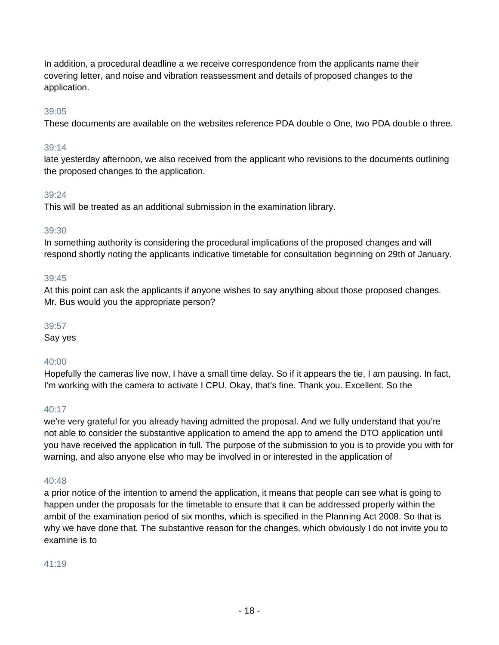In addition, a procedural deadline a we receive correspondence from the applicants name their covering letter, and noise and vibration reassessment and details of proposed changes to the application.

## 39:05

These documents are available on the websites reference PDA double o One, two PDA double o three.

## 39:14

late yesterday afternoon, we also received from the applicant who revisions to the documents outlining the proposed changes to the application.

## 39:24

This will be treated as an additional submission in the examination library.

## 39:30

In something authority is considering the procedural implications of the proposed changes and will respond shortly noting the applicants indicative timetable for consultation beginning on 29th of January.

## 39:45

At this point can ask the applicants if anyone wishes to say anything about those proposed changes. Mr. Bus would you the appropriate person?

## 39:57

Say yes

## 40:00

Hopefully the cameras live now, I have a small time delay. So if it appears the tie, I am pausing. In fact, I'm working with the camera to activate I CPU. Okay, that's fine. Thank you. Excellent. So the

## $40:17$

we're very grateful for you already having admitted the proposal. And we fully understand that you're not able to consider the substantive application to amend the app to amend the DTO application until you have received the application in full. The purpose of the submission to you is to provide you with for warning, and also anyone else who may be involved in or interested in the application of

## 40:48

a prior notice of the intention to amend the application, it means that people can see what is going to happen under the proposals for the timetable to ensure that it can be addressed properly within the ambit of the examination period of six months, which is specified in the Planning Act 2008. So that is why we have done that. The substantive reason for the changes, which obviously I do not invite you to examine is to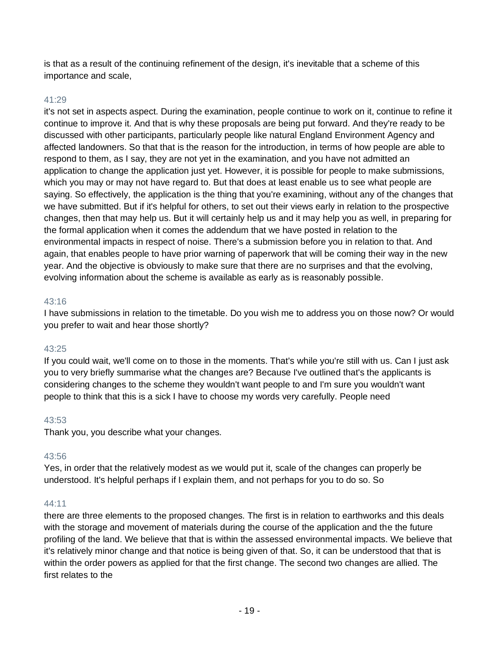is that as a result of the continuing refinement of the design, it's inevitable that a scheme of this importance and scale,

## 41:29

it's not set in aspects aspect. During the examination, people continue to work on it, continue to refine it continue to improve it. And that is why these proposals are being put forward. And they're ready to be discussed with other participants, particularly people like natural England Environment Agency and affected landowners. So that that is the reason for the introduction, in terms of how people are able to respond to them, as I say, they are not yet in the examination, and you have not admitted an application to change the application just yet. However, it is possible for people to make submissions, which you may or may not have regard to. But that does at least enable us to see what people are saying. So effectively, the application is the thing that you're examining, without any of the changes that we have submitted. But if it's helpful for others, to set out their views early in relation to the prospective changes, then that may help us. But it will certainly help us and it may help you as well, in preparing for the formal application when it comes the addendum that we have posted in relation to the environmental impacts in respect of noise. There's a submission before you in relation to that. And again, that enables people to have prior warning of paperwork that will be coming their way in the new year. And the objective is obviously to make sure that there are no surprises and that the evolving, evolving information about the scheme is available as early as is reasonably possible.

## 43:16

I have submissions in relation to the timetable. Do you wish me to address you on those now? Or would you prefer to wait and hear those shortly?

## 43:25

If you could wait, we'll come on to those in the moments. That's while you're still with us. Can I just ask you to very briefly summarise what the changes are? Because I've outlined that's the applicants is considering changes to the scheme they wouldn't want people to and I'm sure you wouldn't want people to think that this is a sick I have to choose my words very carefully. People need

## 43:53

Thank you, you describe what your changes.

## 43:56

Yes, in order that the relatively modest as we would put it, scale of the changes can properly be understood. It's helpful perhaps if I explain them, and not perhaps for you to do so. So

## 44:11

there are three elements to the proposed changes. The first is in relation to earthworks and this deals with the storage and movement of materials during the course of the application and the the future profiling of the land. We believe that that is within the assessed environmental impacts. We believe that it's relatively minor change and that notice is being given of that. So, it can be understood that that is within the order powers as applied for that the first change. The second two changes are allied. The first relates to the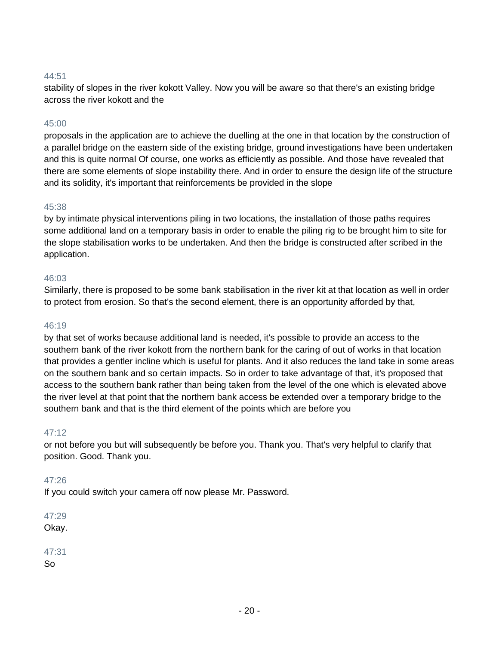stability of slopes in the river kokott Valley. Now you will be aware so that there's an existing bridge across the river kokott and the

#### 45:00

proposals in the application are to achieve the duelling at the one in that location by the construction of a parallel bridge on the eastern side of the existing bridge, ground investigations have been undertaken and this is quite normal Of course, one works as efficiently as possible. And those have revealed that there are some elements of slope instability there. And in order to ensure the design life of the structure and its solidity, it's important that reinforcements be provided in the slope

#### 45:38

by by intimate physical interventions piling in two locations, the installation of those paths requires some additional land on a temporary basis in order to enable the piling rig to be brought him to site for the slope stabilisation works to be undertaken. And then the bridge is constructed after scribed in the application.

#### 46:03

Similarly, there is proposed to be some bank stabilisation in the river kit at that location as well in order to protect from erosion. So that's the second element, there is an opportunity afforded by that,

#### 46:19

by that set of works because additional land is needed, it's possible to provide an access to the southern bank of the river kokott from the northern bank for the caring of out of works in that location that provides a gentler incline which is useful for plants. And it also reduces the land take in some areas on the southern bank and so certain impacts. So in order to take advantage of that, it's proposed that access to the southern bank rather than being taken from the level of the one which is elevated above the river level at that point that the northern bank access be extended over a temporary bridge to the southern bank and that is the third element of the points which are before you

## 47:12

or not before you but will subsequently be before you. Thank you. That's very helpful to clarify that position. Good. Thank you.

#### 47:26

If you could switch your camera off now please Mr. Password.

47:29 Okay.

#### 47:31 So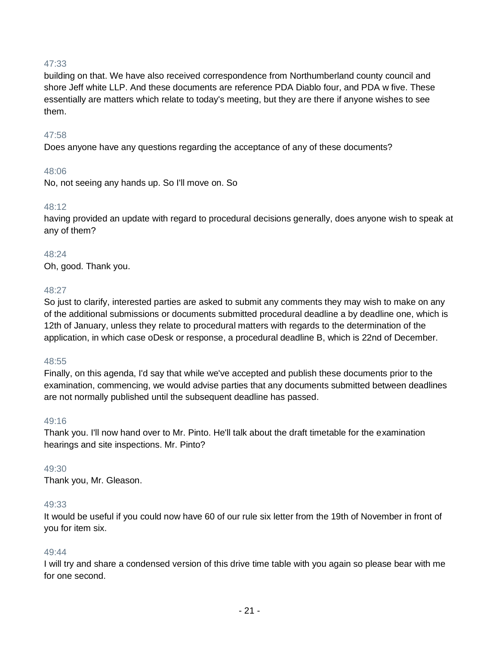building on that. We have also received correspondence from Northumberland county council and shore Jeff white LLP. And these documents are reference PDA Diablo four, and PDA w five. These essentially are matters which relate to today's meeting, but they are there if anyone wishes to see them.

#### 47:58

Does anyone have any questions regarding the acceptance of any of these documents?

#### 48:06

No, not seeing any hands up. So I'll move on. So

#### 48:12

having provided an update with regard to procedural decisions generally, does anyone wish to speak at any of them?

#### 48:24

Oh, good. Thank you.

#### 48:27

So just to clarify, interested parties are asked to submit any comments they may wish to make on any of the additional submissions or documents submitted procedural deadline a by deadline one, which is 12th of January, unless they relate to procedural matters with regards to the determination of the application, in which case oDesk or response, a procedural deadline B, which is 22nd of December.

#### 48:55

Finally, on this agenda, I'd say that while we've accepted and publish these documents prior to the examination, commencing, we would advise parties that any documents submitted between deadlines are not normally published until the subsequent deadline has passed.

#### 49:16

Thank you. I'll now hand over to Mr. Pinto. He'll talk about the draft timetable for the examination hearings and site inspections. Mr. Pinto?

## 49:30

Thank you, Mr. Gleason.

#### 49:33

It would be useful if you could now have 60 of our rule six letter from the 19th of November in front of you for item six.

#### 49:44

I will try and share a condensed version of this drive time table with you again so please bear with me for one second.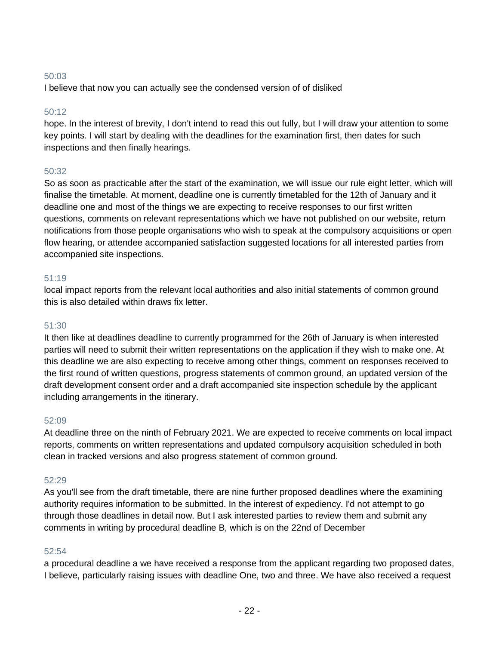I believe that now you can actually see the condensed version of of disliked

## 50:12

hope. In the interest of brevity, I don't intend to read this out fully, but I will draw your attention to some key points. I will start by dealing with the deadlines for the examination first, then dates for such inspections and then finally hearings.

## 50:32

So as soon as practicable after the start of the examination, we will issue our rule eight letter, which will finalise the timetable. At moment, deadline one is currently timetabled for the 12th of January and it deadline one and most of the things we are expecting to receive responses to our first written questions, comments on relevant representations which we have not published on our website, return notifications from those people organisations who wish to speak at the compulsory acquisitions or open flow hearing, or attendee accompanied satisfaction suggested locations for all interested parties from accompanied site inspections.

#### 51:19

local impact reports from the relevant local authorities and also initial statements of common ground this is also detailed within draws fix letter.

#### 51:30

It then like at deadlines deadline to currently programmed for the 26th of January is when interested parties will need to submit their written representations on the application if they wish to make one. At this deadline we are also expecting to receive among other things, comment on responses received to the first round of written questions, progress statements of common ground, an updated version of the draft development consent order and a draft accompanied site inspection schedule by the applicant including arrangements in the itinerary.

#### 52:09

At deadline three on the ninth of February 2021. We are expected to receive comments on local impact reports, comments on written representations and updated compulsory acquisition scheduled in both clean in tracked versions and also progress statement of common ground.

#### 52:29

As you'll see from the draft timetable, there are nine further proposed deadlines where the examining authority requires information to be submitted. In the interest of expediency. I'd not attempt to go through those deadlines in detail now. But I ask interested parties to review them and submit any comments in writing by procedural deadline B, which is on the 22nd of December

#### 52:54

a procedural deadline a we have received a response from the applicant regarding two proposed dates, I believe, particularly raising issues with deadline One, two and three. We have also received a request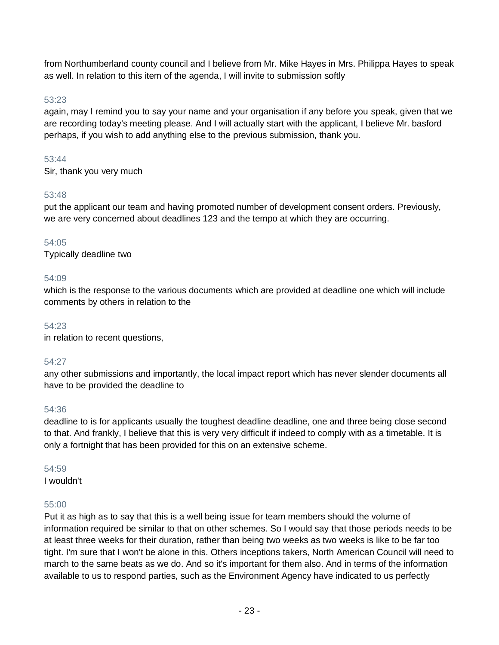from Northumberland county council and I believe from Mr. Mike Hayes in Mrs. Philippa Hayes to speak as well. In relation to this item of the agenda, I will invite to submission softly

## 53:23

again, may I remind you to say your name and your organisation if any before you speak, given that we are recording today's meeting please. And I will actually start with the applicant, I believe Mr. basford perhaps, if you wish to add anything else to the previous submission, thank you.

#### 53:44

Sir, thank you very much

## 53:48

put the applicant our team and having promoted number of development consent orders. Previously, we are very concerned about deadlines 123 and the tempo at which they are occurring.

## 54:05

Typically deadline two

## 54:09

which is the response to the various documents which are provided at deadline one which will include comments by others in relation to the

#### 54:23

in relation to recent questions,

## 54:27

any other submissions and importantly, the local impact report which has never slender documents all have to be provided the deadline to

## 54:36

deadline to is for applicants usually the toughest deadline deadline, one and three being close second to that. And frankly, I believe that this is very very difficult if indeed to comply with as a timetable. It is only a fortnight that has been provided for this on an extensive scheme.

#### 54:59

I wouldn't

## 55:00

Put it as high as to say that this is a well being issue for team members should the volume of information required be similar to that on other schemes. So I would say that those periods needs to be at least three weeks for their duration, rather than being two weeks as two weeks is like to be far too tight. I'm sure that I won't be alone in this. Others inceptions takers, North American Council will need to march to the same beats as we do. And so it's important for them also. And in terms of the information available to us to respond parties, such as the Environment Agency have indicated to us perfectly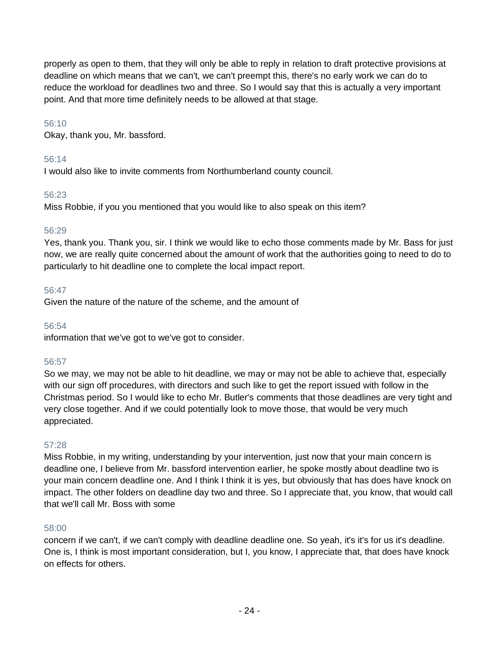properly as open to them, that they will only be able to reply in relation to draft protective provisions at deadline on which means that we can't, we can't preempt this, there's no early work we can do to reduce the workload for deadlines two and three. So I would say that this is actually a very important point. And that more time definitely needs to be allowed at that stage.

## 56:10

Okay, thank you, Mr. bassford.

## 56:14

I would also like to invite comments from Northumberland county council.

## 56:23

Miss Robbie, if you you mentioned that you would like to also speak on this item?

## 56:29

Yes, thank you. Thank you, sir. I think we would like to echo those comments made by Mr. Bass for just now, we are really quite concerned about the amount of work that the authorities going to need to do to particularly to hit deadline one to complete the local impact report.

## 56:47

Given the nature of the nature of the scheme, and the amount of

## 56:54

information that we've got to we've got to consider.

## 56:57

So we may, we may not be able to hit deadline, we may or may not be able to achieve that, especially with our sign off procedures, with directors and such like to get the report issued with follow in the Christmas period. So I would like to echo Mr. Butler's comments that those deadlines are very tight and very close together. And if we could potentially look to move those, that would be very much appreciated.

## 57:28

Miss Robbie, in my writing, understanding by your intervention, just now that your main concern is deadline one, I believe from Mr. bassford intervention earlier, he spoke mostly about deadline two is your main concern deadline one. And I think I think it is yes, but obviously that has does have knock on impact. The other folders on deadline day two and three. So I appreciate that, you know, that would call that we'll call Mr. Boss with some

## 58:00

concern if we can't, if we can't comply with deadline deadline one. So yeah, it's it's for us it's deadline. One is, I think is most important consideration, but I, you know, I appreciate that, that does have knock on effects for others.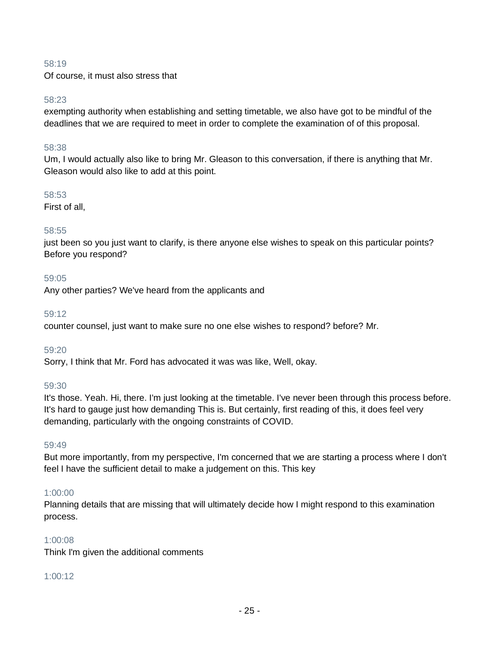Of course, it must also stress that

#### 58:23

exempting authority when establishing and setting timetable, we also have got to be mindful of the deadlines that we are required to meet in order to complete the examination of of this proposal.

#### 58:38

Um, I would actually also like to bring Mr. Gleason to this conversation, if there is anything that Mr. Gleason would also like to add at this point.

#### 58:53

First of all,

## 58:55

just been so you just want to clarify, is there anyone else wishes to speak on this particular points? Before you respond?

#### 59:05

Any other parties? We've heard from the applicants and

#### 59:12

counter counsel, just want to make sure no one else wishes to respond? before? Mr.

#### 59:20

Sorry, I think that Mr. Ford has advocated it was was like, Well, okay.

#### 59:30

It's those. Yeah. Hi, there. I'm just looking at the timetable. I've never been through this process before. It's hard to gauge just how demanding This is. But certainly, first reading of this, it does feel very demanding, particularly with the ongoing constraints of COVID.

#### 59:49

But more importantly, from my perspective, I'm concerned that we are starting a process where I don't feel I have the sufficient detail to make a judgement on this. This key

## 1:00:00

Planning details that are missing that will ultimately decide how I might respond to this examination process.

## 1:00:08

Think I'm given the additional comments

## 1:00:12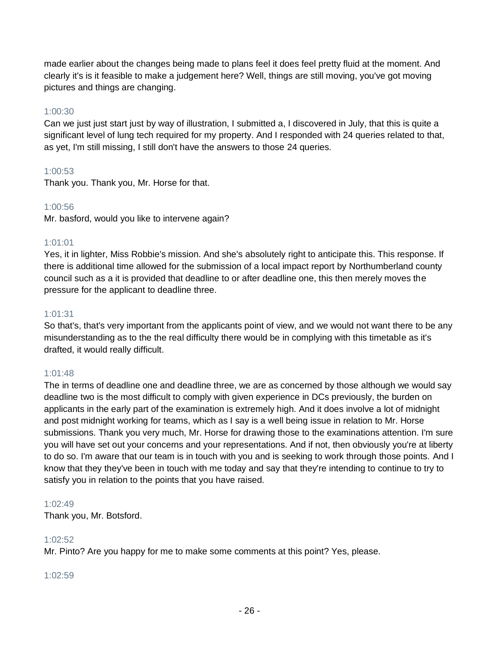made earlier about the changes being made to plans feel it does feel pretty fluid at the moment. And clearly it's is it feasible to make a judgement here? Well, things are still moving, you've got moving pictures and things are changing.

## 1:00:30

Can we just just start just by way of illustration, I submitted a, I discovered in July, that this is quite a significant level of lung tech required for my property. And I responded with 24 queries related to that, as yet, I'm still missing, I still don't have the answers to those 24 queries.

## 1:00:53

Thank you. Thank you, Mr. Horse for that.

## 1:00:56

Mr. basford, would you like to intervene again?

## 1:01:01

Yes, it in lighter, Miss Robbie's mission. And she's absolutely right to anticipate this. This response. If there is additional time allowed for the submission of a local impact report by Northumberland county council such as a it is provided that deadline to or after deadline one, this then merely moves the pressure for the applicant to deadline three.

## 1:01:31

So that's, that's very important from the applicants point of view, and we would not want there to be any misunderstanding as to the the real difficulty there would be in complying with this timetable as it's drafted, it would really difficult.

## 1:01:48

The in terms of deadline one and deadline three, we are as concerned by those although we would say deadline two is the most difficult to comply with given experience in DCs previously, the burden on applicants in the early part of the examination is extremely high. And it does involve a lot of midnight and post midnight working for teams, which as I say is a well being issue in relation to Mr. Horse submissions. Thank you very much, Mr. Horse for drawing those to the examinations attention. I'm sure you will have set out your concerns and your representations. And if not, then obviously you're at liberty to do so. I'm aware that our team is in touch with you and is seeking to work through those points. And I know that they they've been in touch with me today and say that they're intending to continue to try to satisfy you in relation to the points that you have raised.

## 1:02:49

Thank you, Mr. Botsford.

## 1:02:52

Mr. Pinto? Are you happy for me to make some comments at this point? Yes, please.

## 1:02:59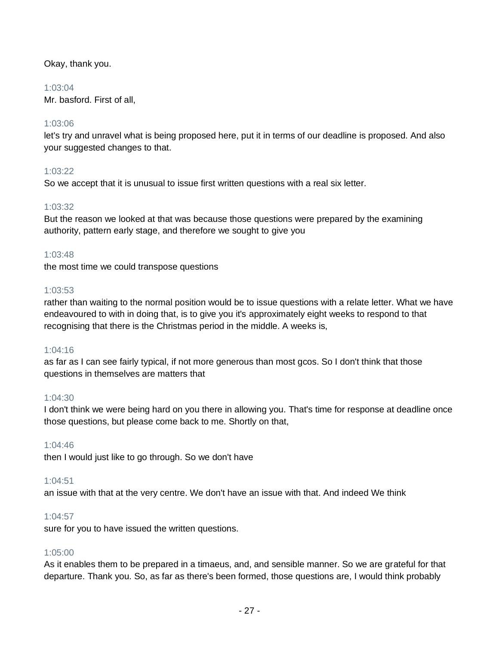Okay, thank you.

## 1:03:04

Mr. basford. First of all,

## 1:03:06

let's try and unravel what is being proposed here, put it in terms of our deadline is proposed. And also your suggested changes to that.

## 1:03:22

So we accept that it is unusual to issue first written questions with a real six letter.

## 1:03:32

But the reason we looked at that was because those questions were prepared by the examining authority, pattern early stage, and therefore we sought to give you

## 1:03:48

the most time we could transpose questions

## 1:03:53

rather than waiting to the normal position would be to issue questions with a relate letter. What we have endeavoured to with in doing that, is to give you it's approximately eight weeks to respond to that recognising that there is the Christmas period in the middle. A weeks is,

## 1:04:16

as far as I can see fairly typical, if not more generous than most gcos. So I don't think that those questions in themselves are matters that

## 1:04:30

I don't think we were being hard on you there in allowing you. That's time for response at deadline once those questions, but please come back to me. Shortly on that,

## 1:04:46

then I would just like to go through. So we don't have

## 1:04:51

an issue with that at the very centre. We don't have an issue with that. And indeed We think

## 1:04:57

sure for you to have issued the written questions.

## 1:05:00

As it enables them to be prepared in a timaeus, and, and sensible manner. So we are grateful for that departure. Thank you. So, as far as there's been formed, those questions are, I would think probably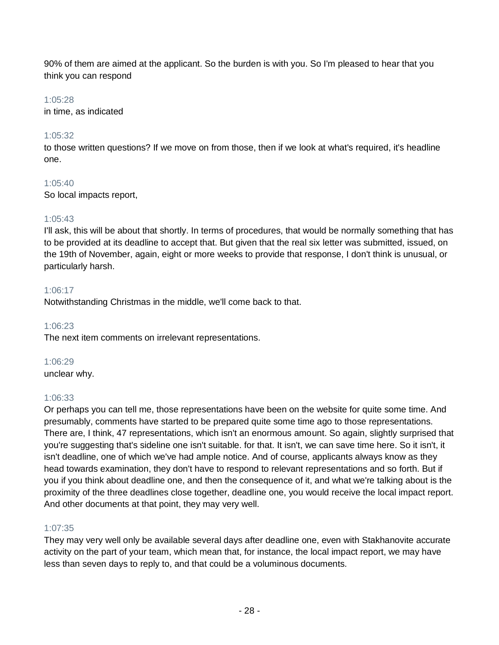90% of them are aimed at the applicant. So the burden is with you. So I'm pleased to hear that you think you can respond

## 1:05:28

in time, as indicated

# 1:05:32

to those written questions? If we move on from those, then if we look at what's required, it's headline one.

# 1:05:40

So local impacts report,

# 1:05:43

I'll ask, this will be about that shortly. In terms of procedures, that would be normally something that has to be provided at its deadline to accept that. But given that the real six letter was submitted, issued, on the 19th of November, again, eight or more weeks to provide that response, I don't think is unusual, or particularly harsh.

## 1:06:17

Notwithstanding Christmas in the middle, we'll come back to that.

## 1:06:23

The next item comments on irrelevant representations.

## 1:06:29

unclear why.

# 1:06:33

Or perhaps you can tell me, those representations have been on the website for quite some time. And presumably, comments have started to be prepared quite some time ago to those representations. There are, I think, 47 representations, which isn't an enormous amount. So again, slightly surprised that you're suggesting that's sideline one isn't suitable. for that. It isn't, we can save time here. So it isn't, it isn't deadline, one of which we've had ample notice. And of course, applicants always know as they head towards examination, they don't have to respond to relevant representations and so forth. But if you if you think about deadline one, and then the consequence of it, and what we're talking about is the proximity of the three deadlines close together, deadline one, you would receive the local impact report. And other documents at that point, they may very well.

# 1:07:35

They may very well only be available several days after deadline one, even with Stakhanovite accurate activity on the part of your team, which mean that, for instance, the local impact report, we may have less than seven days to reply to, and that could be a voluminous documents.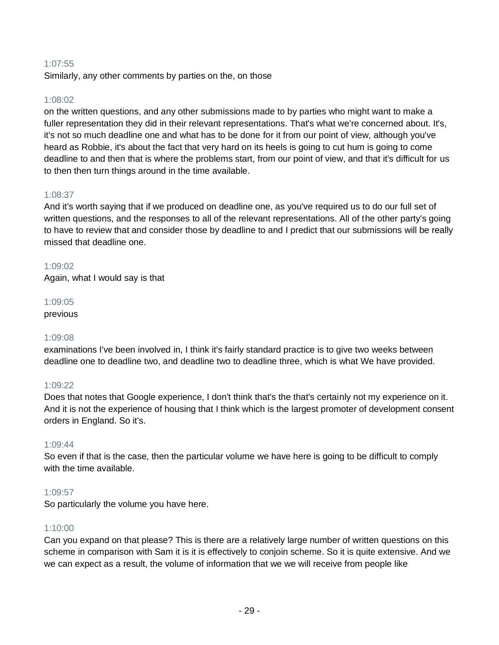## 1:07:55

Similarly, any other comments by parties on the, on those

## 1:08:02

on the written questions, and any other submissions made to by parties who might want to make a fuller representation they did in their relevant representations. That's what we're concerned about. It's, it's not so much deadline one and what has to be done for it from our point of view, although you've heard as Robbie, it's about the fact that very hard on its heels is going to cut hum is going to come deadline to and then that is where the problems start, from our point of view, and that it's difficult for us to then then turn things around in the time available.

## 1:08:37

And it's worth saying that if we produced on deadline one, as you've required us to do our full set of written questions, and the responses to all of the relevant representations. All of the other party's going to have to review that and consider those by deadline to and I predict that our submissions will be really missed that deadline one.

## 1:09:02

Again, what I would say is that

## 1:09:05

previous

## 1:09:08

examinations I've been involved in, I think it's fairly standard practice is to give two weeks between deadline one to deadline two, and deadline two to deadline three, which is what We have provided.

## 1:09:22

Does that notes that Google experience, I don't think that's the that's certainly not my experience on it. And it is not the experience of housing that I think which is the largest promoter of development consent orders in England. So it's.

## 1:09:44

So even if that is the case, then the particular volume we have here is going to be difficult to comply with the time available.

## 1:09:57

So particularly the volume you have here.

## 1:10:00

Can you expand on that please? This is there are a relatively large number of written questions on this scheme in comparison with Sam it is it is effectively to conjoin scheme. So it is quite extensive. And we we can expect as a result, the volume of information that we we will receive from people like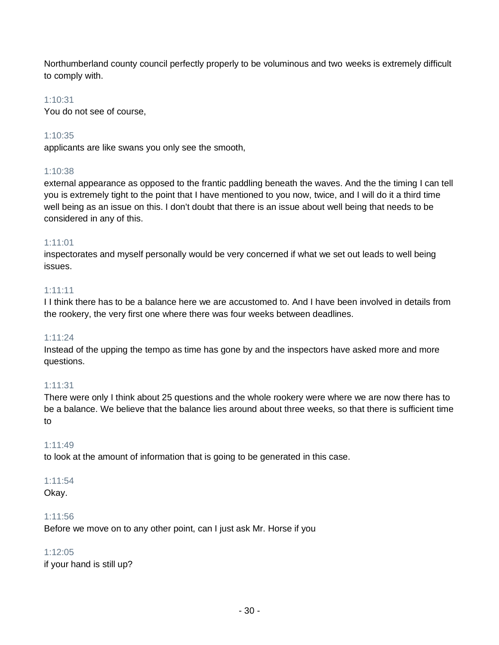Northumberland county council perfectly properly to be voluminous and two weeks is extremely difficult to comply with.

## 1:10:31

You do not see of course,

## 1:10:35

applicants are like swans you only see the smooth,

## 1:10:38

external appearance as opposed to the frantic paddling beneath the waves. And the the timing I can tell you is extremely tight to the point that I have mentioned to you now, twice, and I will do it a third time well being as an issue on this. I don't doubt that there is an issue about well being that needs to be considered in any of this.

## 1:11:01

inspectorates and myself personally would be very concerned if what we set out leads to well being issues.

## 1:11:11

I I think there has to be a balance here we are accustomed to. And I have been involved in details from the rookery, the very first one where there was four weeks between deadlines.

## 1:11:24

Instead of the upping the tempo as time has gone by and the inspectors have asked more and more questions.

## 1:11:31

There were only I think about 25 questions and the whole rookery were where we are now there has to be a balance. We believe that the balance lies around about three weeks, so that there is sufficient time to

## 1:11:49

to look at the amount of information that is going to be generated in this case.

#### 1:11:54

Okay.

## 1:11:56

Before we move on to any other point, can I just ask Mr. Horse if you

## 1:12:05

if your hand is still up?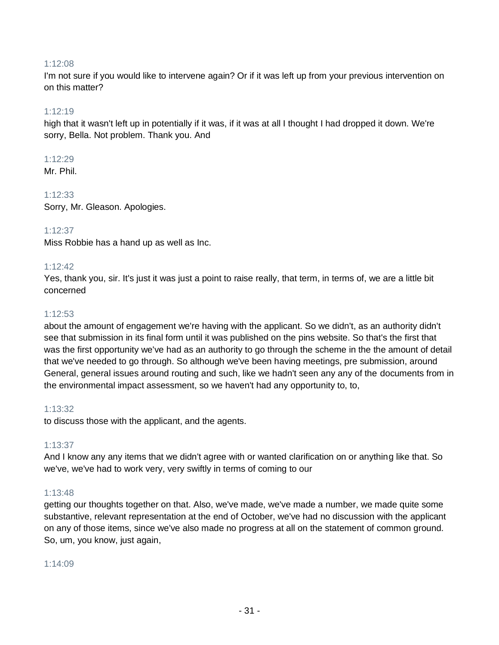#### 1:12:08

I'm not sure if you would like to intervene again? Or if it was left up from your previous intervention on on this matter?

#### 1:12:19

high that it wasn't left up in potentially if it was, if it was at all I thought I had dropped it down. We're sorry, Bella. Not problem. Thank you. And

#### 1:12:29

Mr. Phil.

## 1:12:33

Sorry, Mr. Gleason. Apologies.

## 1:12:37

Miss Robbie has a hand up as well as Inc.

## 1:12:42

Yes, thank you, sir. It's just it was just a point to raise really, that term, in terms of, we are a little bit concerned

#### 1:12:53

about the amount of engagement we're having with the applicant. So we didn't, as an authority didn't see that submission in its final form until it was published on the pins website. So that's the first that was the first opportunity we've had as an authority to go through the scheme in the the amount of detail that we've needed to go through. So although we've been having meetings, pre submission, around General, general issues around routing and such, like we hadn't seen any any of the documents from in the environmental impact assessment, so we haven't had any opportunity to, to,

#### 1:13:32

to discuss those with the applicant, and the agents.

## 1:13:37

And I know any any items that we didn't agree with or wanted clarification on or anything like that. So we've, we've had to work very, very swiftly in terms of coming to our

## 1:13:48

getting our thoughts together on that. Also, we've made, we've made a number, we made quite some substantive, relevant representation at the end of October, we've had no discussion with the applicant on any of those items, since we've also made no progress at all on the statement of common ground. So, um, you know, just again,

## 1:14:09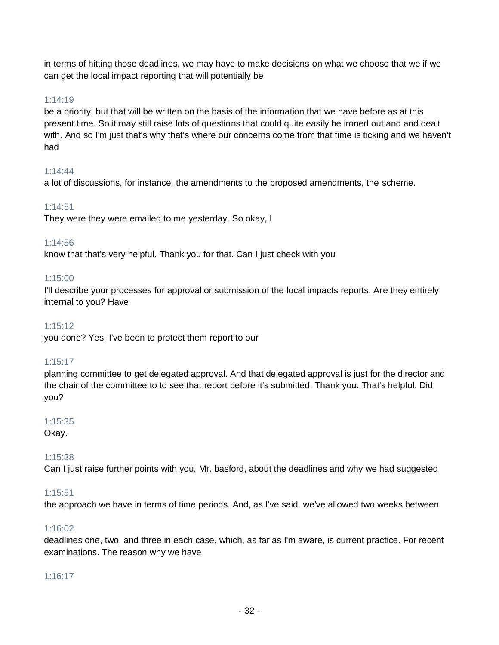in terms of hitting those deadlines, we may have to make decisions on what we choose that we if we can get the local impact reporting that will potentially be

## 1:14:19

be a priority, but that will be written on the basis of the information that we have before as at this present time. So it may still raise lots of questions that could quite easily be ironed out and and dealt with. And so I'm just that's why that's where our concerns come from that time is ticking and we haven't had

## 1:14:44

a lot of discussions, for instance, the amendments to the proposed amendments, the scheme.

## 1:14:51

They were they were emailed to me yesterday. So okay, I

## 1:14:56

know that that's very helpful. Thank you for that. Can I just check with you

## 1:15:00

I'll describe your processes for approval or submission of the local impacts reports. Are they entirely internal to you? Have

## 1:15:12

you done? Yes, I've been to protect them report to our

## 1:15:17

planning committee to get delegated approval. And that delegated approval is just for the director and the chair of the committee to to see that report before it's submitted. Thank you. That's helpful. Did you?

# 1:15:35

Okay.

## 1:15:38

Can I just raise further points with you, Mr. basford, about the deadlines and why we had suggested

## 1:15:51

the approach we have in terms of time periods. And, as I've said, we've allowed two weeks between

## 1:16:02

deadlines one, two, and three in each case, which, as far as I'm aware, is current practice. For recent examinations. The reason why we have

## 1:16:17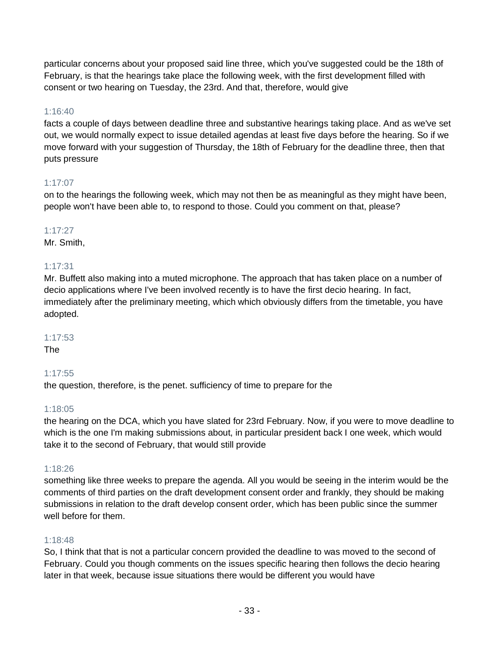particular concerns about your proposed said line three, which you've suggested could be the 18th of February, is that the hearings take place the following week, with the first development filled with consent or two hearing on Tuesday, the 23rd. And that, therefore, would give

## 1:16:40

facts a couple of days between deadline three and substantive hearings taking place. And as we've set out, we would normally expect to issue detailed agendas at least five days before the hearing. So if we move forward with your suggestion of Thursday, the 18th of February for the deadline three, then that puts pressure

# 1:17:07

on to the hearings the following week, which may not then be as meaningful as they might have been, people won't have been able to, to respond to those. Could you comment on that, please?

# 1:17:27

Mr. Smith,

# 1:17:31

Mr. Buffett also making into a muted microphone. The approach that has taken place on a number of decio applications where I've been involved recently is to have the first decio hearing. In fact, immediately after the preliminary meeting, which which obviously differs from the timetable, you have adopted.

## 1:17:53

The

## 1:17:55

the question, therefore, is the penet. sufficiency of time to prepare for the

## 1:18:05

the hearing on the DCA, which you have slated for 23rd February. Now, if you were to move deadline to which is the one I'm making submissions about, in particular president back I one week, which would take it to the second of February, that would still provide

## 1:18:26

something like three weeks to prepare the agenda. All you would be seeing in the interim would be the comments of third parties on the draft development consent order and frankly, they should be making submissions in relation to the draft develop consent order, which has been public since the summer well before for them.

## 1:18:48

So, I think that that is not a particular concern provided the deadline to was moved to the second of February. Could you though comments on the issues specific hearing then follows the decio hearing later in that week, because issue situations there would be different you would have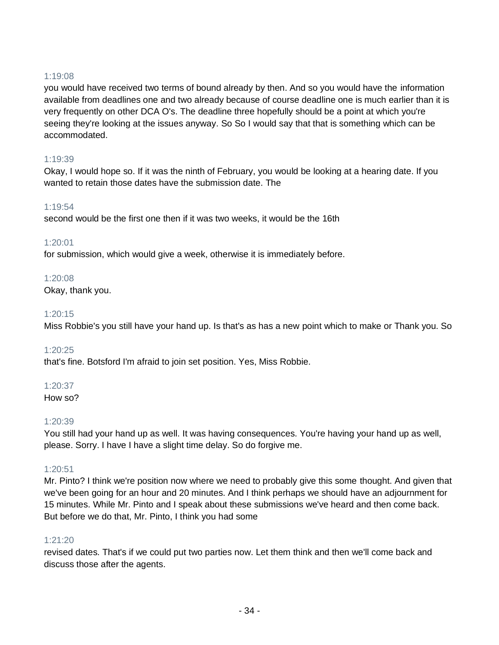## 1:19:08

you would have received two terms of bound already by then. And so you would have the information available from deadlines one and two already because of course deadline one is much earlier than it is very frequently on other DCA O's. The deadline three hopefully should be a point at which you're seeing they're looking at the issues anyway. So So I would say that that is something which can be accommodated.

## 1:19:39

Okay, I would hope so. If it was the ninth of February, you would be looking at a hearing date. If you wanted to retain those dates have the submission date. The

## 1:19:54

second would be the first one then if it was two weeks, it would be the 16th

## 1:20:01

for submission, which would give a week, otherwise it is immediately before.

## 1:20:08

Okay, thank you.

## 1:20:15

Miss Robbie's you still have your hand up. Is that's as has a new point which to make or Thank you. So

## 1:20:25

that's fine. Botsford I'm afraid to join set position. Yes, Miss Robbie.

## 1:20:37

How so?

## 1:20:39

You still had your hand up as well. It was having consequences. You're having your hand up as well, please. Sorry. I have I have a slight time delay. So do forgive me.

## 1:20:51

Mr. Pinto? I think we're position now where we need to probably give this some thought. And given that we've been going for an hour and 20 minutes. And I think perhaps we should have an adjournment for 15 minutes. While Mr. Pinto and I speak about these submissions we've heard and then come back. But before we do that, Mr. Pinto, I think you had some

## 1:21:20

revised dates. That's if we could put two parties now. Let them think and then we'll come back and discuss those after the agents.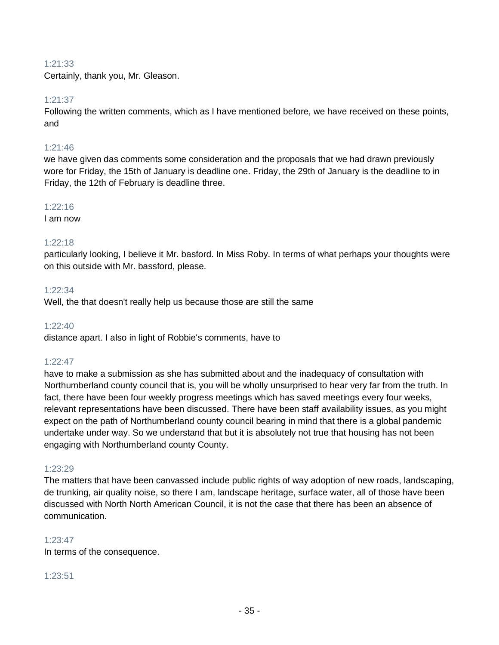## 1:21:33

Certainly, thank you, Mr. Gleason.

#### 1:21:37

Following the written comments, which as I have mentioned before, we have received on these points, and

#### 1:21:46

we have given das comments some consideration and the proposals that we had drawn previously wore for Friday, the 15th of January is deadline one. Friday, the 29th of January is the deadline to in Friday, the 12th of February is deadline three.

#### 1:22:16

I am now

#### 1:22:18

particularly looking, I believe it Mr. basford. In Miss Roby. In terms of what perhaps your thoughts were on this outside with Mr. bassford, please.

#### 1:22:34

Well, the that doesn't really help us because those are still the same

#### 1:22:40

distance apart. I also in light of Robbie's comments, have to

## 1:22:47

have to make a submission as she has submitted about and the inadequacy of consultation with Northumberland county council that is, you will be wholly unsurprised to hear very far from the truth. In fact, there have been four weekly progress meetings which has saved meetings every four weeks, relevant representations have been discussed. There have been staff availability issues, as you might expect on the path of Northumberland county council bearing in mind that there is a global pandemic undertake under way. So we understand that but it is absolutely not true that housing has not been engaging with Northumberland county County.

## 1:23:29

The matters that have been canvassed include public rights of way adoption of new roads, landscaping, de trunking, air quality noise, so there I am, landscape heritage, surface water, all of those have been discussed with North North American Council, it is not the case that there has been an absence of communication.

## 1:23:47

In terms of the consequence.

#### 1:23:51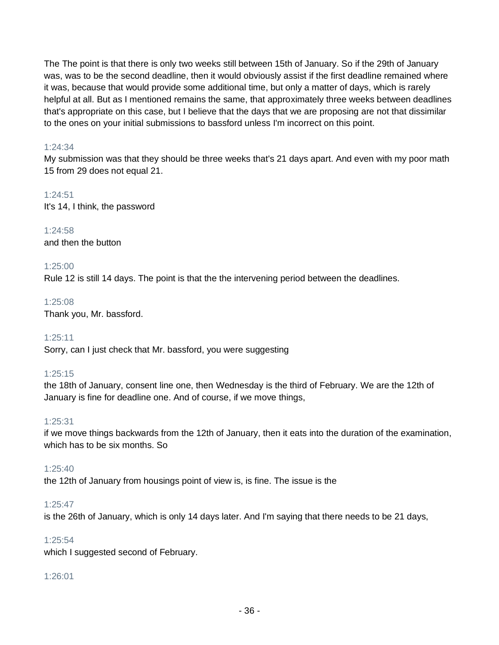The The point is that there is only two weeks still between 15th of January. So if the 29th of January was, was to be the second deadline, then it would obviously assist if the first deadline remained where it was, because that would provide some additional time, but only a matter of days, which is rarely helpful at all. But as I mentioned remains the same, that approximately three weeks between deadlines that's appropriate on this case, but I believe that the days that we are proposing are not that dissimilar to the ones on your initial submissions to bassford unless I'm incorrect on this point.

## 1:24:34

My submission was that they should be three weeks that's 21 days apart. And even with my poor math 15 from 29 does not equal 21.

1:24:51 It's 14, I think, the password

1:24:58 and then the button

## 1:25:00

Rule 12 is still 14 days. The point is that the the intervening period between the deadlines.

1:25:08 Thank you, Mr. bassford.

1:25:11 Sorry, can I just check that Mr. bassford, you were suggesting

## 1:25:15

the 18th of January, consent line one, then Wednesday is the third of February. We are the 12th of January is fine for deadline one. And of course, if we move things,

## 1:25:31

if we move things backwards from the 12th of January, then it eats into the duration of the examination, which has to be six months. So

## 1:25:40

the 12th of January from housings point of view is, is fine. The issue is the

## 1:25:47

is the 26th of January, which is only 14 days later. And I'm saying that there needs to be 21 days,

## 1:25:54

which I suggested second of February.

## 1:26:01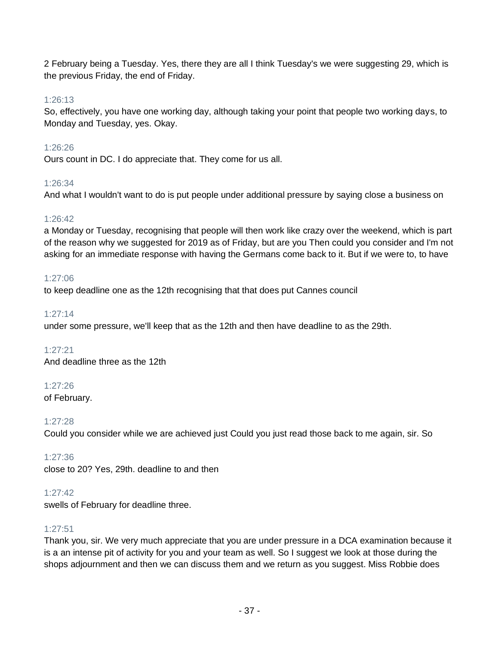2 February being a Tuesday. Yes, there they are all I think Tuesday's we were suggesting 29, which is the previous Friday, the end of Friday.

## 1:26:13

So, effectively, you have one working day, although taking your point that people two working days, to Monday and Tuesday, yes. Okay.

## 1:26:26

Ours count in DC. I do appreciate that. They come for us all.

## 1:26:34

And what I wouldn't want to do is put people under additional pressure by saying close a business on

## 1:26:42

a Monday or Tuesday, recognising that people will then work like crazy over the weekend, which is part of the reason why we suggested for 2019 as of Friday, but are you Then could you consider and I'm not asking for an immediate response with having the Germans come back to it. But if we were to, to have

## 1:27:06

to keep deadline one as the 12th recognising that that does put Cannes council

## 1:27:14

under some pressure, we'll keep that as the 12th and then have deadline to as the 29th.

1:27:21 And deadline three as the 12th

## 1:27:26

of February.

1:27:28

Could you consider while we are achieved just Could you just read those back to me again, sir. So

## 1:27:36

close to 20? Yes, 29th. deadline to and then

## 1:27:42

swells of February for deadline three.

## 1:27:51

Thank you, sir. We very much appreciate that you are under pressure in a DCA examination because it is a an intense pit of activity for you and your team as well. So I suggest we look at those during the shops adjournment and then we can discuss them and we return as you suggest. Miss Robbie does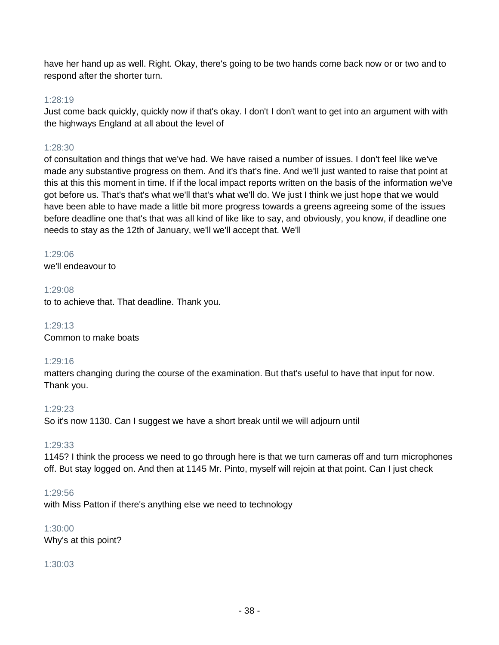have her hand up as well. Right. Okay, there's going to be two hands come back now or or two and to respond after the shorter turn.

## 1:28:19

Just come back quickly, quickly now if that's okay. I don't I don't want to get into an argument with with the highways England at all about the level of

## 1:28:30

of consultation and things that we've had. We have raised a number of issues. I don't feel like we've made any substantive progress on them. And it's that's fine. And we'll just wanted to raise that point at this at this this moment in time. If if the local impact reports written on the basis of the information we've got before us. That's that's what we'll that's what we'll do. We just I think we just hope that we would have been able to have made a little bit more progress towards a greens agreeing some of the issues before deadline one that's that was all kind of like like to say, and obviously, you know, if deadline one needs to stay as the 12th of January, we'll we'll accept that. We'll

## 1:29:06

we'll endeavour to

1:29:08 to to achieve that. That deadline. Thank you.

1:29:13 Common to make boats

## 1:29:16

matters changing during the course of the examination. But that's useful to have that input for now. Thank you.

## 1:29:23

So it's now 1130. Can I suggest we have a short break until we will adjourn until

## 1:29:33

1145? I think the process we need to go through here is that we turn cameras off and turn microphones off. But stay logged on. And then at 1145 Mr. Pinto, myself will rejoin at that point. Can I just check

## 1:29:56

with Miss Patton if there's anything else we need to technology

## 1:30:00

Why's at this point?

## 1:30:03